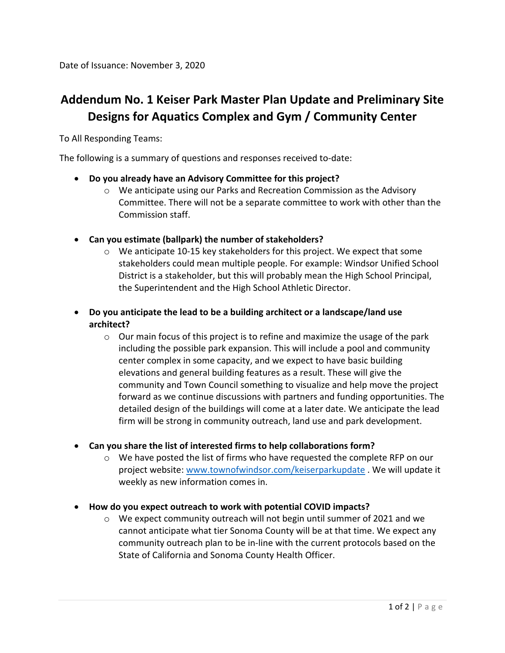## **Addendum No. 1 Keiser Park Master Plan Update and Preliminary Site Designs for Aquatics Complex and Gym / Community Center**

To All Responding Teams:

The following is a summary of questions and responses received to-date:

## • **Do you already have an Advisory Committee for this project?**

- o We anticipate using our Parks and Recreation Commission as the Advisory Committee. There will not be a separate committee to work with other than the Commission staff.
- **Can you estimate (ballpark) the number of stakeholders?**
	- $\circ$  We anticipate 10-15 key stakeholders for this project. We expect that some stakeholders could mean multiple people. For example: Windsor Unified School District is a stakeholder, but this will probably mean the High School Principal, the Superintendent and the High School Athletic Director.
- **Do you anticipate the lead to be a building architect or a landscape/land use architect?**
	- $\circ$  Our main focus of this project is to refine and maximize the usage of the park including the possible park expansion. This will include a pool and community center complex in some capacity, and we expect to have basic building elevations and general building features as a result. These will give the community and Town Council something to visualize and help move the project forward as we continue discussions with partners and funding opportunities. The detailed design of the buildings will come at a later date. We anticipate the lead firm will be strong in community outreach, land use and park development.

## • **Can you share the list of interested firms to help collaborations form?**

- o We have posted the list of firms who have requested the complete RFP on our project website: [www.townofwindsor.com/keiserparkupdate](http://www.townofwindsor.com/keiserparkupdate) . We will update it weekly as new information comes in.
- **How do you expect outreach to work with potential COVID impacts?**
	- $\circ$  We expect community outreach will not begin until summer of 2021 and we cannot anticipate what tier Sonoma County will be at that time. We expect any community outreach plan to be in-line with the current protocols based on the State of California and Sonoma County Health Officer.